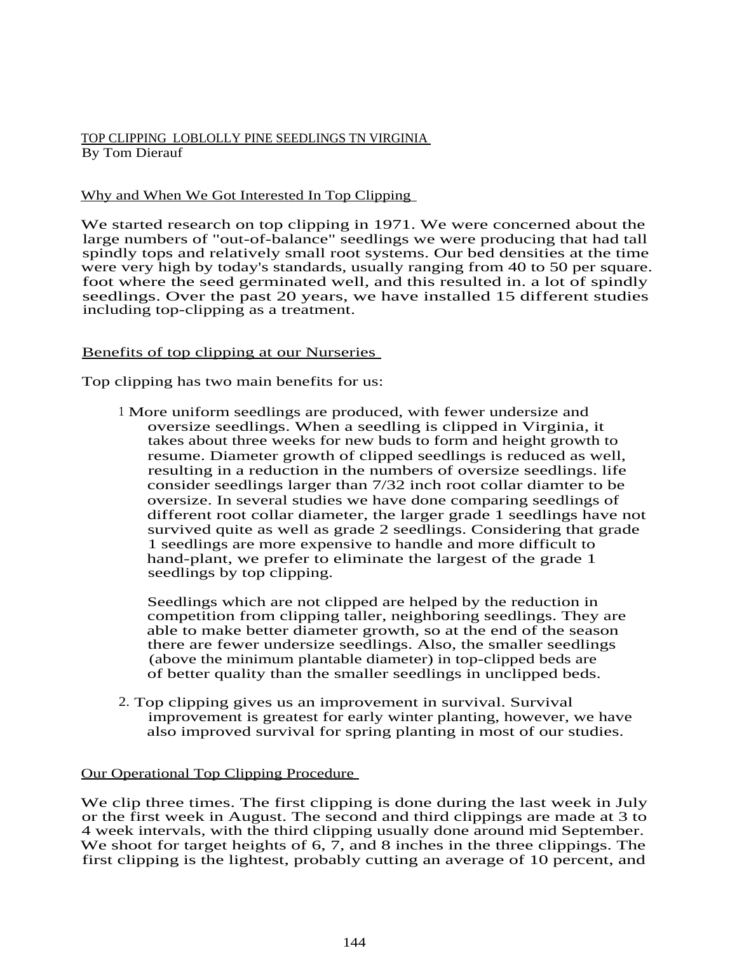# TOP CLIPPING LOBLOLLY PINE SEEDLINGS TN VIRGINIA By Tom Dierauf

# Why and When We Got Interested In Top Clipping

We started research on top clipping in 1971. We were concerned about the large numbers of "out-of-balance" seedlings we were producing that had tall spindly tops and relatively small root systems. Our bed densities at the time were very high by today's standards, usually ranging from 40 to 50 per square. foot where the seed germinated well, and this resulted in. a lot of spindly seedlings. Over the past 20 years, we have installed 15 different studies including top-clipping as a treatment.

## Benefits of top clipping at our Nurseries

Top clipping has two main benefits for us:

1 More uniform seedlings are produced, with fewer undersize and oversize seedlings. When a seedling is clipped in Virginia, it takes about three weeks for new buds to form and height growth to resume. Diameter growth of clipped seedlings is reduced as well, resulting in a reduction in the numbers of oversize seedlings. life consider seedlings larger than 7/32 inch root collar diamter to be oversize. In several studies we have done comparing seedlings of different root collar diameter, the larger grade 1 seedlings have not survived quite as well as grade 2 seedlings. Considering that grade 1 seedlings are more expensive to handle and more difficult to hand-plant, we prefer to eliminate the largest of the grade 1 seedlings by top clipping.

Seedlings which are not clipped are helped by the reduction in competition from clipping taller, neighboring seedlings. They are able to make better diameter growth, so at the end of the season there are fewer undersize seedlings. Also, the smaller seedlings (above the minimum plantable diameter) in top-clipped beds are of better quality than the smaller seedlings in unclipped beds.

2. Top clipping gives us an improvement in survival. Survival improvement is greatest for early winter planting, however, we have also improved survival for spring planting in most of our studies.

## Our Operational Top Clipping Procedure

We clip three times. The first clipping is done during the last week in July or the first week in August. The second and third clippings are made at 3 to 4 week intervals, with the third clipping usually done around mid September. We shoot for target heights of 6,  $\overline{7}$ , and 8 inches in the three clippings. The first clipping is the lightest, probably cutting an average of 10 percent, and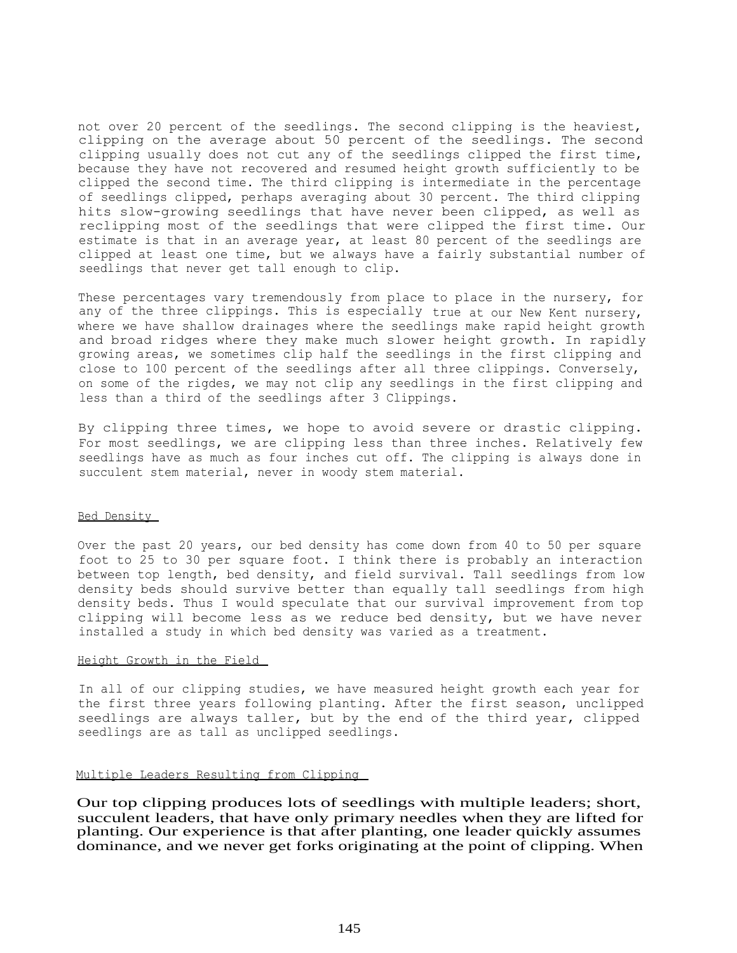not over 20 percent of the seedlings. The second clipping is the heaviest, clipping on the average about 50 percent of the seedlings. The second clipping usually does not cut any of the seedlings clipped the first time, because they have not recovered and resumed height growth sufficiently to be clipped the second time. The third clipping is intermediate in the percentage of seedlings clipped, perhaps averaging about 30 percent. The third clipping hits slow-growing seedlings that have never been clipped, as well as reclipping most of the seedlings that were clipped the first time. Our estimate is that in an average year, at least 80 percent of the seedlings are clipped at least one time, but we always have a fairly substantial number of seedlings that never get tall enough to clip.

These percentages vary tremendously from place to place in the nursery, for any of the three clippings. This is especially true at our New Kent nursery, where we have shallow drainages where the seedlings make rapid height growth and broad ridges where they make much slower height growth. In rapidly growing areas, we sometimes clip half the seedlings in the first clipping and close to 100 percent of the seedlings after all three clippings. Conversely, on some of the rigdes, we may not clip any seedlings in the first clipping and less than a third of the seedlings after 3 Clippings.

By clipping three times, we hope to avoid severe or drastic clipping. For most seedlings, we are clipping less than three inches. Relatively few seedlings have as much as four inches cut off. The clipping is always done in succulent stem material, never in woody stem material.

#### Bed Density

Over the past 20 years, our bed density has come down from 40 to 50 per square foot to 25 to 30 per square foot. I think there is probably an interaction between top length, bed density, and field survival. Tall seedlings from low density beds should survive better than equally tall seedlings from high density beds. Thus I would speculate that our survival improvement from top clipping will become less as we reduce bed density, but we have never installed a study in which bed density was varied as a treatment.

#### Height Growth in the Field

In all of our clipping studies, we have measured height growth each year for the first three years following planting. After the first season, unclipped seedlings are always taller, but by the end of the third year, clipped seedlings are as tall as unclipped seedlings.

#### Multiple Leaders Resulting from Clipping

Our top clipping produces lots of seedlings with multiple leaders; short, succulent leaders, that have only primary needles when they are lifted for planting. Our experience is that after planting, one leader quickly assumes dominance, and we never get forks originating at the point of clipping. When